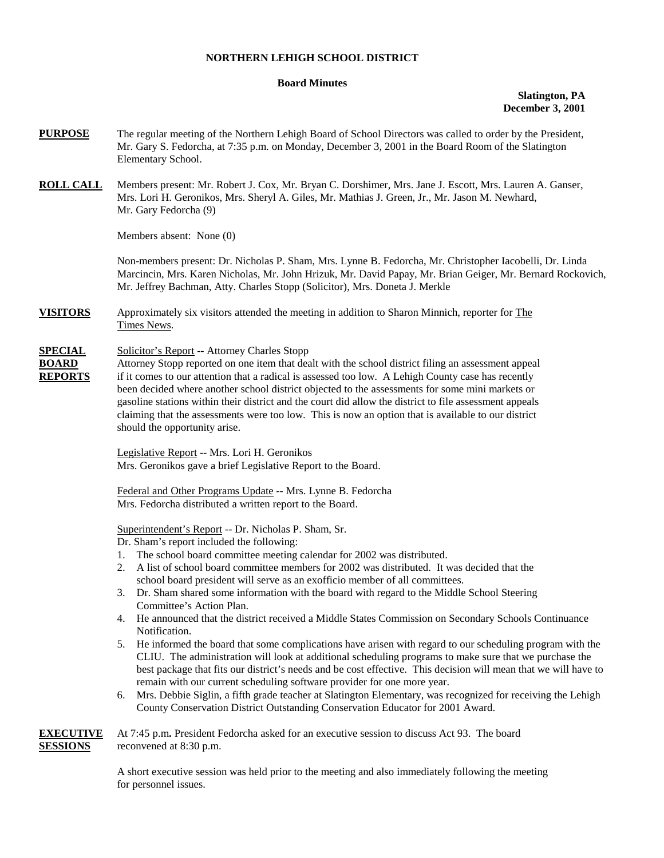## **NORTHERN LEHIGH SCHOOL DISTRICT**

## **Board Minutes**

## **Slatington, PA December 3, 2001**

- **PURPOSE** The regular meeting of the Northern Lehigh Board of School Directors was called to order by the President, Mr. Gary S. Fedorcha, at 7:35 p.m. on Monday, December 3, 2001 in the Board Room of the Slatington Elementary School.
- **ROLL CALL** Members present: Mr. Robert J. Cox, Mr. Bryan C. Dorshimer, Mrs. Jane J. Escott, Mrs. Lauren A. Ganser, Mrs. Lori H. Geronikos, Mrs. Sheryl A. Giles, Mr. Mathias J. Green, Jr., Mr. Jason M. Newhard, Mr. Gary Fedorcha (9)

Members absent: None (0)

Non-members present: Dr. Nicholas P. Sham, Mrs. Lynne B. Fedorcha, Mr. Christopher Iacobelli, Dr. Linda Marcincin, Mrs. Karen Nicholas, Mr. John Hrizuk, Mr. David Papay, Mr. Brian Geiger, Mr. Bernard Rockovich, Mr. Jeffrey Bachman, Atty. Charles Stopp (Solicitor), Mrs. Doneta J. Merkle

**VISITORS** Approximately six visitors attended the meeting in addition to Sharon Minnich, reporter for The Times News.

## **SPECIAL** Solicitor's Report -- Attorney Charles Stopp

**BOARD** Attorney Stopp reported on one item that dealt with the school district filing an assessment appeal **REPORTS** if it comes to our attention that a radical is assessed too low. A Lehigh County case has recently been decided where another school district objected to the assessments for some mini markets or gasoline stations within their district and the court did allow the district to file assessment appeals claiming that the assessments were too low. This is now an option that is available to our district should the opportunity arise.

> Legislative Report -- Mrs. Lori H. Geronikos Mrs. Geronikos gave a brief Legislative Report to the Board.

Federal and Other Programs Update -- Mrs. Lynne B. Fedorcha Mrs. Fedorcha distributed a written report to the Board.

Superintendent's Report -- Dr. Nicholas P. Sham, Sr.

Dr. Sham's report included the following:

- 1. The school board committee meeting calendar for 2002 was distributed.
- 2. A list of school board committee members for 2002 was distributed. It was decided that the school board president will serve as an exofficio member of all committees.
- 3. Dr. Sham shared some information with the board with regard to the Middle School Steering Committee's Action Plan.
- 4. He announced that the district received a Middle States Commission on Secondary Schools Continuance Notification.
- 5. He informed the board that some complications have arisen with regard to our scheduling program with the CLIU. The administration will look at additional scheduling programs to make sure that we purchase the best package that fits our district's needs and be cost effective. This decision will mean that we will have to remain with our current scheduling software provider for one more year.
- 6. Mrs. Debbie Siglin, a fifth grade teacher at Slatington Elementary, was recognized for receiving the Lehigh County Conservation District Outstanding Conservation Educator for 2001 Award.

|                 | <b>EXECUTIVE</b> At 7:45 p.m. President Fedorcha asked for an executive session to discuss Act 93. The board |  |
|-----------------|--------------------------------------------------------------------------------------------------------------|--|
| <b>SESSIONS</b> | reconvened at 8:30 p.m.                                                                                      |  |

A short executive session was held prior to the meeting and also immediately following the meeting for personnel issues.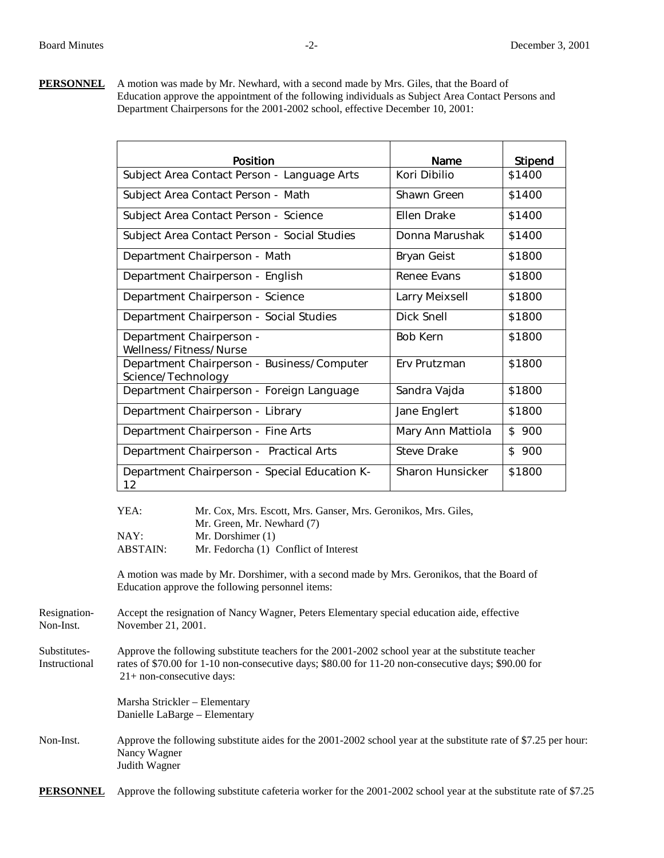**PERSONNEL** A motion was made by Mr. Newhard, with a second made by Mrs. Giles, that the Board of Education approve the appointment of the following individuals as Subject Area Contact Persons and Department Chairpersons for the 2001-2002 school, effective December 10, 2001:

|                                                    | Position                                                                                                                                                   | Name               | Stipend |
|----------------------------------------------------|------------------------------------------------------------------------------------------------------------------------------------------------------------|--------------------|---------|
|                                                    | Subject Area Contact Person - Language Arts                                                                                                                | Kori Dibilio       | \$1400  |
|                                                    | Subject Area Contact Person - Math                                                                                                                         | Shawn Green        | \$1400  |
|                                                    | Subject Area Contact Person - Science                                                                                                                      | <b>Ellen Drake</b> | \$1400  |
|                                                    | Subject Area Contact Person - Social Studies                                                                                                               | Donna Marushak     | \$1400  |
|                                                    | Department Chairperson - Math                                                                                                                              | Bryan Geist        | \$1800  |
|                                                    | Department Chairperson - English                                                                                                                           | Renee Evans        | \$1800  |
|                                                    | Department Chairperson - Science                                                                                                                           | Larry Meixsell     | \$1800  |
|                                                    | Department Chairperson - Social Studies                                                                                                                    | Dick Snell         | \$1800  |
| Department Chairperson -<br>Wellness/Fitness/Nurse |                                                                                                                                                            | <b>Bob Kern</b>    | \$1800  |
| Science/Technology                                 | Department Chairperson - Business/Computer                                                                                                                 | Erv Prutzman       | \$1800  |
|                                                    | Department Chairperson - Foreign Language                                                                                                                  | Sandra Vajda       | \$1800  |
|                                                    | Department Chairperson - Library                                                                                                                           | Jane Englert       | \$1800  |
|                                                    | Department Chairperson - Fine Arts                                                                                                                         | Mary Ann Mattiola  | \$ 900  |
|                                                    | Department Chairperson - Practical Arts                                                                                                                    | <b>Steve Drake</b> | \$900   |
| 12                                                 | Department Chairperson - Special Education K-                                                                                                              | Sharon Hunsicker   | \$1800  |
| YEA:<br>NAY:<br><b>ABSTAIN:</b>                    | Mr. Cox, Mrs. Escott, Mrs. Ganser, Mrs. Geronikos, Mrs. Giles,<br>Mr. Green, Mr. Newhard (7)<br>Mr. Dorshimer (1)<br>Mr. Fedorcha (1) Conflict of Interest |                    |         |
|                                                    | A motion was made by Mr. Dorshimer, with a second made by Mrs. Geronikos, that the Board of<br>Education approve the following personnel items:            |                    |         |

- Resignation-<br>
Accept the resignation of Nancy Wagner, Peters Elementary special education aide, effective<br>
November 21, 2001. November 21, 2001.
- Substitutes- Approve the following substitute teachers for the 2001-2002 school year at the substitute teacher Instructional rates of \$70.00 for 1-10 non-consecutive days; \$80.00 for 11-20 non-consecutive days; \$90.00 for 21+ non-consecutive days:

 Marsha Strickler – Elementary Danielle LaBarge – Elementary

Non-Inst. Approve the following substitute aides for the 2001-2002 school year at the substitute rate of \$7.25 per hour: Nancy Wagner Judith Wagner

**PERSONNEL** Approve the following substitute cafeteria worker for the 2001-2002 school year at the substitute rate of \$7.25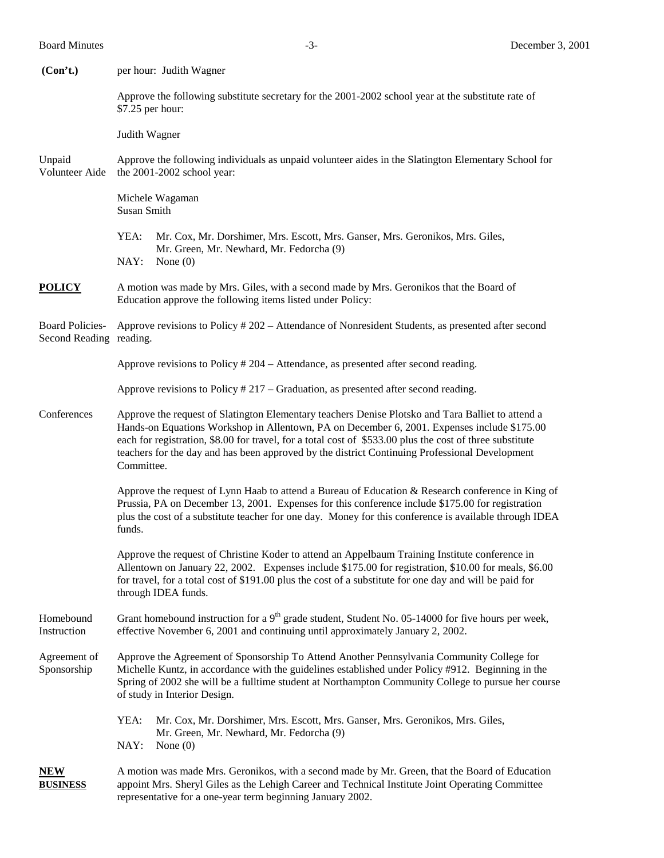| (Con't.)                                          | per hour: Judith Wagner                                                                                                                                                                                                                                                                                                                                                                                                      |  |
|---------------------------------------------------|------------------------------------------------------------------------------------------------------------------------------------------------------------------------------------------------------------------------------------------------------------------------------------------------------------------------------------------------------------------------------------------------------------------------------|--|
|                                                   | Approve the following substitute secretary for the 2001-2002 school year at the substitute rate of<br>\$7.25 per hour:                                                                                                                                                                                                                                                                                                       |  |
|                                                   | Judith Wagner                                                                                                                                                                                                                                                                                                                                                                                                                |  |
| Unpaid<br>Volunteer Aide                          | Approve the following individuals as unpaid volunteer aides in the Slatington Elementary School for<br>the 2001-2002 school year:                                                                                                                                                                                                                                                                                            |  |
|                                                   | Michele Wagaman<br>Susan Smith                                                                                                                                                                                                                                                                                                                                                                                               |  |
|                                                   | YEA:<br>Mr. Cox, Mr. Dorshimer, Mrs. Escott, Mrs. Ganser, Mrs. Geronikos, Mrs. Giles,<br>Mr. Green, Mr. Newhard, Mr. Fedorcha (9)<br>NAY:<br>None $(0)$                                                                                                                                                                                                                                                                      |  |
| <b>POLICY</b>                                     | A motion was made by Mrs. Giles, with a second made by Mrs. Geronikos that the Board of<br>Education approve the following items listed under Policy:                                                                                                                                                                                                                                                                        |  |
| <b>Board Policies-</b><br>Second Reading reading. | Approve revisions to Policy # 202 – Attendance of Nonresident Students, as presented after second                                                                                                                                                                                                                                                                                                                            |  |
|                                                   | Approve revisions to Policy # 204 – Attendance, as presented after second reading.                                                                                                                                                                                                                                                                                                                                           |  |
|                                                   | Approve revisions to Policy $#217 -$ Graduation, as presented after second reading.                                                                                                                                                                                                                                                                                                                                          |  |
| Conferences                                       | Approve the request of Slatington Elementary teachers Denise Plotsko and Tara Balliet to attend a<br>Hands-on Equations Workshop in Allentown, PA on December 6, 2001. Expenses include \$175.00<br>each for registration, \$8.00 for travel, for a total cost of \$533.00 plus the cost of three substitute<br>teachers for the day and has been approved by the district Continuing Professional Development<br>Committee. |  |
|                                                   | Approve the request of Lynn Haab to attend a Bureau of Education & Research conference in King of<br>Prussia, PA on December 13, 2001. Expenses for this conference include \$175.00 for registration<br>plus the cost of a substitute teacher for one day. Money for this conference is available through IDEA<br>funds.                                                                                                    |  |
|                                                   | Approve the request of Christine Koder to attend an Appelbaum Training Institute conference in<br>Allentown on January 22, 2002. Expenses include \$175.00 for registration, \$10.00 for meals, \$6.00<br>for travel, for a total cost of \$191.00 plus the cost of a substitute for one day and will be paid for<br>through IDEA funds.                                                                                     |  |
| Homebound<br>Instruction                          | Grant homebound instruction for a $9th$ grade student, Student No. 05-14000 for five hours per week,<br>effective November 6, 2001 and continuing until approximately January 2, 2002.                                                                                                                                                                                                                                       |  |
| Agreement of<br>Sponsorship                       | Approve the Agreement of Sponsorship To Attend Another Pennsylvania Community College for<br>Michelle Kuntz, in accordance with the guidelines established under Policy #912. Beginning in the<br>Spring of 2002 she will be a fulltime student at Northampton Community College to pursue her course<br>of study in Interior Design.                                                                                        |  |
|                                                   | YEA:<br>Mr. Cox, Mr. Dorshimer, Mrs. Escott, Mrs. Ganser, Mrs. Geronikos, Mrs. Giles,<br>Mr. Green, Mr. Newhard, Mr. Fedorcha (9)<br>NAY:<br>None $(0)$                                                                                                                                                                                                                                                                      |  |
| <b>NEW</b><br><b>BUSINESS</b>                     | A motion was made Mrs. Geronikos, with a second made by Mr. Green, that the Board of Education<br>appoint Mrs. Sheryl Giles as the Lehigh Career and Technical Institute Joint Operating Committee<br>representative for a one-year term beginning January 2002.                                                                                                                                                             |  |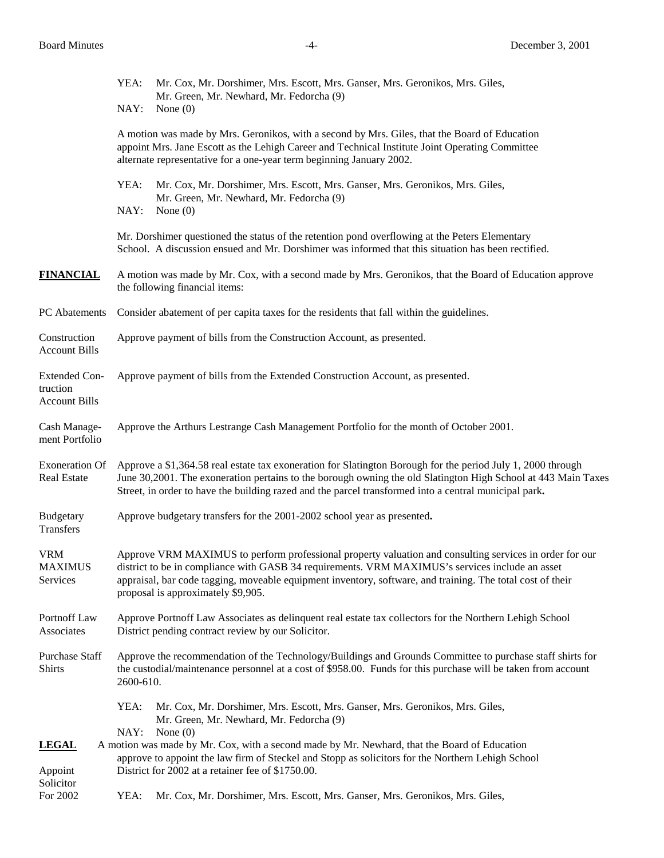|                                                          | YEA:<br>Mr. Cox, Mr. Dorshimer, Mrs. Escott, Mrs. Ganser, Mrs. Geronikos, Mrs. Giles,<br>Mr. Green, Mr. Newhard, Mr. Fedorcha (9)<br>NAY:<br>None $(0)$                                                                                                                                                                                                        |  |  |
|----------------------------------------------------------|----------------------------------------------------------------------------------------------------------------------------------------------------------------------------------------------------------------------------------------------------------------------------------------------------------------------------------------------------------------|--|--|
|                                                          | A motion was made by Mrs. Geronikos, with a second by Mrs. Giles, that the Board of Education                                                                                                                                                                                                                                                                  |  |  |
|                                                          | appoint Mrs. Jane Escott as the Lehigh Career and Technical Institute Joint Operating Committee<br>alternate representative for a one-year term beginning January 2002.                                                                                                                                                                                        |  |  |
|                                                          | YEA:<br>Mr. Cox, Mr. Dorshimer, Mrs. Escott, Mrs. Ganser, Mrs. Geronikos, Mrs. Giles,<br>Mr. Green, Mr. Newhard, Mr. Fedorcha (9)<br>NAY:<br>None $(0)$                                                                                                                                                                                                        |  |  |
|                                                          | Mr. Dorshimer questioned the status of the retention pond overflowing at the Peters Elementary<br>School. A discussion ensued and Mr. Dorshimer was informed that this situation has been rectified.                                                                                                                                                           |  |  |
| <b>FINANCIAL</b>                                         | A motion was made by Mr. Cox, with a second made by Mrs. Geronikos, that the Board of Education approve<br>the following financial items:                                                                                                                                                                                                                      |  |  |
| PC Abatements                                            | Consider abatement of per capita taxes for the residents that fall within the guidelines.                                                                                                                                                                                                                                                                      |  |  |
| Construction<br><b>Account Bills</b>                     | Approve payment of bills from the Construction Account, as presented.                                                                                                                                                                                                                                                                                          |  |  |
| <b>Extended Con-</b><br>truction<br><b>Account Bills</b> | Approve payment of bills from the Extended Construction Account, as presented.                                                                                                                                                                                                                                                                                 |  |  |
| Cash Manage-<br>ment Portfolio                           | Approve the Arthurs Lestrange Cash Management Portfolio for the month of October 2001.                                                                                                                                                                                                                                                                         |  |  |
| <b>Exoneration Of</b><br>Real Estate                     | Approve a \$1,364.58 real estate tax exoneration for Slatington Borough for the period July 1, 2000 through<br>June 30,2001. The exoneration pertains to the borough owning the old Slatington High School at 443 Main Taxes<br>Street, in order to have the building razed and the parcel transformed into a central municipal park.                          |  |  |
| Budgetary<br>Transfers                                   | Approve budgetary transfers for the 2001-2002 school year as presented.                                                                                                                                                                                                                                                                                        |  |  |
| <b>VRM</b><br><b>MAXIMUS</b><br><b>Services</b>          | Approve VRM MAXIMUS to perform professional property valuation and consulting services in order for our<br>district to be in compliance with GASB 34 requirements. VRM MAXIMUS's services include an asset<br>appraisal, bar code tagging, moveable equipment inventory, software, and training. The total cost of their<br>proposal is approximately \$9,905. |  |  |
| Portnoff Law<br>Associates                               | Approve Portnoff Law Associates as delinquent real estate tax collectors for the Northern Lehigh School<br>District pending contract review by our Solicitor.                                                                                                                                                                                                  |  |  |
| Purchase Staff<br><b>Shirts</b>                          | Approve the recommendation of the Technology/Buildings and Grounds Committee to purchase staff shirts for<br>the custodial/maintenance personnel at a cost of \$958.00. Funds for this purchase will be taken from account<br>2600-610.                                                                                                                        |  |  |
|                                                          | YEA:<br>Mr. Cox, Mr. Dorshimer, Mrs. Escott, Mrs. Ganser, Mrs. Geronikos, Mrs. Giles,<br>Mr. Green, Mr. Newhard, Mr. Fedorcha (9)                                                                                                                                                                                                                              |  |  |
| <b>LEGAL</b>                                             | NAY:<br>None $(0)$<br>A motion was made by Mr. Cox, with a second made by Mr. Newhard, that the Board of Education                                                                                                                                                                                                                                             |  |  |
| Appoint<br>Solicitor                                     | approve to appoint the law firm of Steckel and Stopp as solicitors for the Northern Lehigh School<br>District for 2002 at a retainer fee of \$1750.00.                                                                                                                                                                                                         |  |  |
| For 2002                                                 | YEA:<br>Mr. Cox, Mr. Dorshimer, Mrs. Escott, Mrs. Ganser, Mrs. Geronikos, Mrs. Giles,                                                                                                                                                                                                                                                                          |  |  |